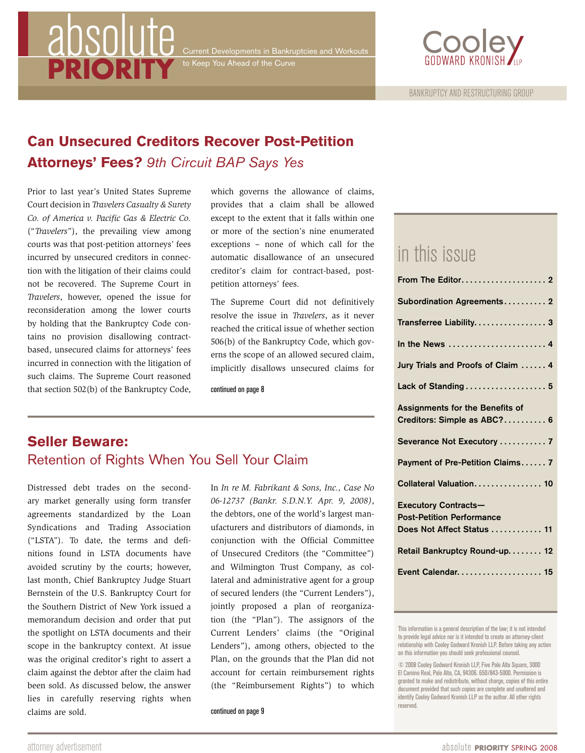# absolut **PRIORITY**

to Keep You Ahead of the Curve



# **Can Unsecured Creditors Recover Post-Petition Attorneys' Fees?** *9th Circuit BAP Says Yes*

Prior to last year's United States Supreme Court decision in *Travelers Casualty & Surety Co. of America v. Pacific Gas & Electric Co.* ("*Travelers*"), the prevailing view among courts was that post-petition attorneys' fees incurred by unsecured creditors in connection with the litigation of their claims could not be recovered. The Supreme Court in *Travelers*, however, opened the issue for reconsideration among the lower courts by holding that the Bankruptcy Code contains no provision disallowing contractbased, unsecured claims for attorneys' fees incurred in connection with the litigation of such claims. The Supreme Court reasoned that section 502(b) of the Bankruptcy Code,

which governs the allowance of claims, provides that a claim shall be allowed except to the extent that it falls within one or more of the section's nine enumerated exceptions – none of which call for the automatic disallowance of an unsecured creditor's claim for contract-based, postpetition attorneys' fees.

The Supreme Court did not definitively resolve the issue in *Travelers*, as it never reached the critical issue of whether section 506(b) of the Bankruptcy Code, which governs the scope of an allowed secured claim, implicitly disallows unsecured claims for

continued on page 8

# **Seller Beware:** Retention of Rights When You Sell Your Claim

Distressed debt trades on the secondary market generally using form transfer agreements standardized by the Loan Syndications and Trading Association ("LSTA"). To date, the terms and definitions found in LSTA documents have avoided scrutiny by the courts; however, last month, Chief Bankruptcy Judge Stuart Bernstein of the U.S. Bankruptcy Court for the Southern District of New York issued a memorandum decision and order that put the spotlight on LSTA documents and their scope in the bankruptcy context. At issue was the original creditor's right to assert a claim against the debtor after the claim had been sold. As discussed below, the answer lies in carefully reserving rights when claims are sold.

In *In re M. Fabrikant & Sons, Inc., Case No 06-12737 (Bankr. S.D.N.Y. Apr. 9, 2008)*, the debtors, one of the world's largest manufacturers and distributors of diamonds, in conjunction with the Official Committee of Unsecured Creditors (the "Committee") and Wilmington Trust Company, as collateral and administrative agent for a group of secured lenders (the "Current Lenders"), jointly proposed a plan of reorganization (the "Plan"). The assignors of the Current Lenders' claims (the "Original Lenders"), among others, objected to the Plan, on the grounds that the Plan did not account for certain reimbursement rights (the "Reimbursement Rights") to which

continued on page 9

# in this issue

| Subordination Agreements 2                                                                    |
|-----------------------------------------------------------------------------------------------|
| Transferree Liability 3                                                                       |
|                                                                                               |
| Jury Trials and Proofs of Claim  4                                                            |
| Lack of Standing  5                                                                           |
| Assignments for the Benefits of<br>Creditors: Simple as ABC? 6                                |
| Severance Not Executory  7                                                                    |
| Payment of Pre-Petition Claims 7                                                              |
| Collateral Valuation 10                                                                       |
| <b>Executory Contracts-</b><br><b>Post-Petition Performance</b><br>Does Not Affect Status  11 |
| Retail Bankruptcy Round-up 12                                                                 |
| Event Calendar. 15                                                                            |
|                                                                                               |

This information is a general description of the law; it is not intended to provide legal advice nor is it intended to create an attorney-client relationship with Cooley Godward Kronish LLP. Before taking any action on this information you should seek professional counsel.

<sup>© 2008</sup> Cooley Godward Kronish LLP, Five Palo Alto Square, 3000 El Camino Real, Palo Alto, CA, 94306. 650/843-5000. Permission is granted to make and redistribute, without charge, copies of this entire document provided that such copies are complete and unaltered and identify Cooley Godward Kronish LLP as the author. All other rights reserved.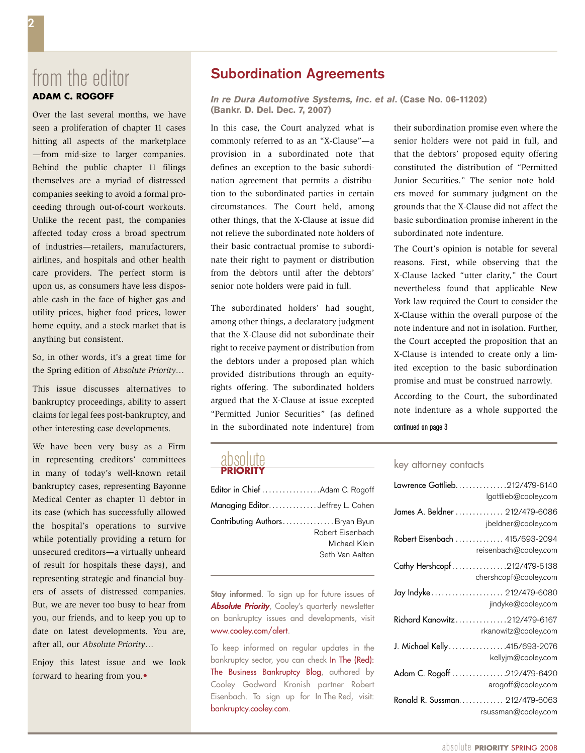# from the editor **Adam C. Rogoff**

Over the last several months, we have seen a proliferation of chapter 11 cases hitting all aspects of the marketplace —from mid-size to larger companies. Behind the public chapter 11 filings themselves are a myriad of distressed companies seeking to avoid a formal proceeding through out-of-court workouts. Unlike the recent past, the companies affected today cross a broad spectrum of industries—retailers, manufacturers, airlines, and hospitals and other health care providers. The perfect storm is upon us, as consumers have less disposable cash in the face of higher gas and utility prices, higher food prices, lower home equity, and a stock market that is anything but consistent.

So, in other words, it's a great time for the Spring edition of *Absolute Priority*…

This issue discusses alternatives to bankruptcy proceedings, ability to assert claims for legal fees post-bankruptcy, and other interesting case developments.

We have been very busy as a Firm in representing creditors' committees in many of today's well-known retail bankruptcy cases, representing Bayonne Medical Center as chapter 11 debtor in its case (which has successfully allowed the hospital's operations to survive while potentially providing a return for unsecured creditors—a virtually unheard of result for hospitals these days), and representing strategic and financial buyers of assets of distressed companies. But, we are never too busy to hear from you, our friends, and to keep you up to date on latest developments. You are, after all, our *Absolute Priority*…

Enjoy this latest issue and we look forward to hearing from you.•

# Subordination Agreements

*In re Dura Automotive Systems, Inc. et al***. (Case No. 06-11202) (Bankr. D. Del. Dec. 7, 2007)**

In this case, the Court analyzed what is commonly referred to as an "X-Clause"—a provision in a subordinated note that defines an exception to the basic subordination agreement that permits a distribution to the subordinated parties in certain circumstances. The Court held, among other things, that the X-Clause at issue did not relieve the subordinated note holders of their basic contractual promise to subordinate their right to payment or distribution from the debtors until after the debtors' senior note holders were paid in full.

The subordinated holders' had sought, among other things, a declaratory judgment that the X-Clause did not subordinate their right to receive payment or distribution from the debtors under a proposed plan which provided distributions through an equityrights offering. The subordinated holders argued that the X-Clause at issue excepted "Permitted Junior Securities" (as defined in the subordinated note indenture) from

# absolute **PRIORITY**

| Editor in Chief Adam C. Rogoff  |                  |
|---------------------------------|------------------|
| Managing EditorJeffrey L. Cohen |                  |
| Contributing AuthorsBryan Byun  |                  |
|                                 | Robert Eisenbach |
|                                 | Michael Klein    |
|                                 | Seth Van Aalten  |

Stay informed. To sign up for future issues of **Absolute Priority**, Cooley's quarterly newsletter on bankruptcy issues and developments, visit www.cooley.com/alert.

To keep informed on regular updates in the bankruptcy sector, you can check In The (Red): The Business Bankruptcy Blog, authored by Cooley Godward Kronish partner Robert Eisenbach. To sign up for In The Red, visit: bankruptcy.cooley.com.

their subordination promise even where the senior holders were not paid in full, and that the debtors' proposed equity offering constituted the distribution of "Permitted Junior Securities." The senior note holders moved for summary judgment on the grounds that the X-Clause did not affect the basic subordination promise inherent in the subordinated note indenture.

The Court's opinion is notable for several reasons. First, while observing that the X-Clause lacked "utter clarity," the Court nevertheless found that applicable New York law required the Court to consider the X-Clause within the overall purpose of the note indenture and not in isolation. Further, the Court accepted the proposition that an X-Clause is intended to create only a limited exception to the basic subordination promise and must be construed narrowly. According to the Court, the subordinated

note indenture as a whole supported the continued on page 3

#### key attorney contacts

| Lawrence Gottlieb212/479-6140   |
|---------------------------------|
| lgottlieb@cooley.com            |
| James A. Beldner  212/479-6086  |
| jbeldner@cooley.com             |
| Robert Eisenbach 415/693-2094   |
| reisenbach@cooley.com           |
| Cathy Hershcopf212/479-6138     |
| chershcopf@cooley.com           |
| Jay Indyke 212/479-6080         |
| jindyke@cooley.com              |
| Richard Kanowitz212/479-6167    |
| rkanowitz@cooley.com            |
| J. Michael Kelly415/693-2076    |
| kellyjm@cooley.com              |
| Adam C. Rogoff 212/479-6420     |
| arogoff@cooley.com              |
| Ronald R. Sussman. 212/479-6063 |
| rsussman@cooley.com             |
|                                 |

 $\bf{z}$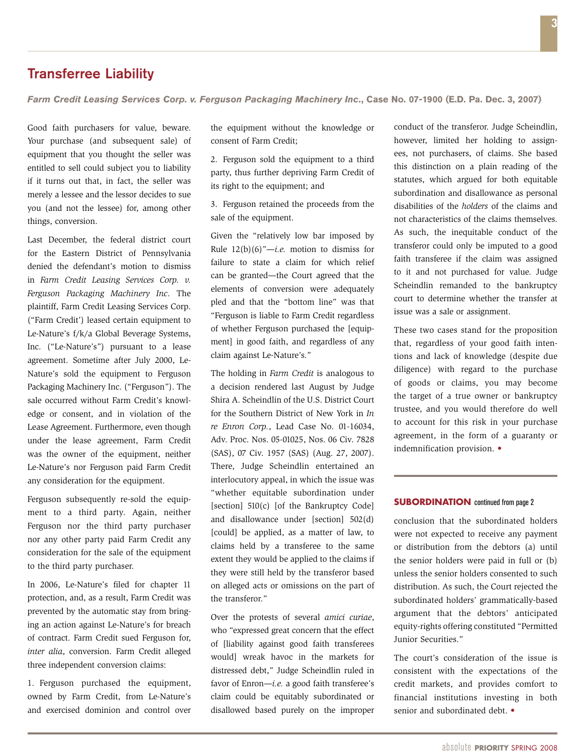# Transferree Liability

*Farm Credit Leasing Services Corp. v. Ferguson Packaging Machinery Inc.***, Case No. 07-1900 (E.D. Pa. Dec. 3, 2007)**

Good faith purchasers for value, beware. Your purchase (and subsequent sale) of equipment that you thought the seller was entitled to sell could subject you to liability if it turns out that, in fact, the seller was merely a lessee and the lessor decides to sue you (and not the lessee) for, among other things, conversion.

Last December, the federal district court for the Eastern District of Pennsylvania denied the defendant's motion to dismiss in *Farm Credit Leasing Services Corp. v. Ferguson Packaging Machinery Inc*. The plaintiff, Farm Credit Leasing Services Corp. ("Farm Credit') leased certain equipment to Le-Nature's f/k/a Global Beverage Systems, Inc. ("Le-Nature's") pursuant to a lease agreement. Sometime after July 2000, Le-Nature's sold the equipment to Ferguson Packaging Machinery Inc. ("Ferguson"). The sale occurred without Farm Credit's knowledge or consent, and in violation of the Lease Agreement. Furthermore, even though under the lease agreement, Farm Credit was the owner of the equipment, neither Le-Nature's nor Ferguson paid Farm Credit any consideration for the equipment.

Ferguson subsequently re-sold the equipment to a third party. Again, neither Ferguson nor the third party purchaser nor any other party paid Farm Credit any consideration for the sale of the equipment to the third party purchaser.

In 2006, Le-Nature's filed for chapter 11 protection, and, as a result, Farm Credit was prevented by the automatic stay from bringing an action against Le-Nature's for breach of contract. Farm Credit sued Ferguson for, *inter alia*, conversion. Farm Credit alleged three independent conversion claims:

1. Ferguson purchased the equipment, owned by Farm Credit, from Le-Nature's and exercised dominion and control over the equipment without the knowledge or consent of Farm Credit;

2. Ferguson sold the equipment to a third party, thus further depriving Farm Credit of its right to the equipment; and

3. Ferguson retained the proceeds from the sale of the equipment.

Given the "relatively low bar imposed by Rule 12(b)(6)"—*i.e.* motion to dismiss for failure to state a claim for which relief can be granted—the Court agreed that the elements of conversion were adequately pled and that the "bottom line" was that "Ferguson is liable to Farm Credit regardless of whether Ferguson purchased the [equipment] in good faith, and regardless of any claim against Le-Nature's."

The holding in *Farm Credit* is analogous to a decision rendered last August by Judge Shira A. Scheindlin of the U.S. District Court for the Southern District of New York in *In re Enron Corp.*, Lead Case No. 01-16034, Adv. Proc. Nos. 05-01025, Nos. 06 Civ. 7828 (SAS), 07 Civ. 1957 (SAS) (Aug. 27, 2007). There, Judge Scheindlin entertained an interlocutory appeal, in which the issue was "whether equitable subordination under [section] 510(c) [of the Bankruptcy Code] and disallowance under [section] 502(d) [could] be applied, as a matter of law, to claims held by a transferee to the same extent they would be applied to the claims if they were still held by the transferor based on alleged acts or omissions on the part of the transferor."

Over the protests of several *amici curiae*, who "expressed great concern that the effect of [liability against good faith transferees would] wreak havoc in the markets for distressed debt," Judge Scheindlin ruled in favor of Enron-*i.e.* a good faith transferee's claim could be equitably subordinated or disallowed based purely on the improper

conduct of the transferor. Judge Scheindlin, however, limited her holding to assignees, not purchasers, of claims. She based this distinction on a plain reading of the statutes, which argued for both equitable subordination and disallowance as personal disabilities of the *holders* of the claims and not characteristics of the claims themselves. As such, the inequitable conduct of the transferor could only be imputed to a good faith transferee if the claim was assigned to it and not purchased for value. Judge Scheindlin remanded to the bankruptcy court to determine whether the transfer at issue was a sale or assignment.

These two cases stand for the proposition that, regardless of your good faith intentions and lack of knowledge (despite due diligence) with regard to the purchase of goods or claims, you may become the target of a true owner or bankruptcy trustee, and you would therefore do well to account for this risk in your purchase agreement, in the form of a guaranty or indemnification provision. •

#### **SUBORDINATION** continued from page 2

conclusion that the subordinated holders were not expected to receive any payment or distribution from the debtors (a) until the senior holders were paid in full or (b) unless the senior holders consented to such distribution. As such, the Court rejected the subordinated holders' grammatically-based argument that the debtors' anticipated equity-rights offering constituted "Permitted Junior Securities."

The court's consideration of the issue is consistent with the expectations of the credit markets, and provides comfort to financial institutions investing in both senior and subordinated debt. •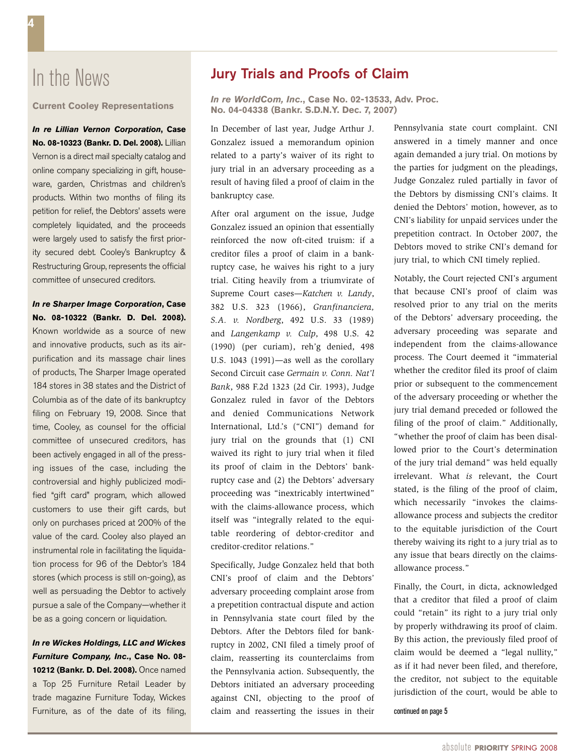# In the News

**Current Cooley Representations**

*In re Lillian Vernon Corporation***, Case No. 08-10323 (Bankr. D. Del. 2008).** Lillian Vernon is a direct mail specialty catalog and online company specializing in gift, houseware, garden, Christmas and children's products. Within two months of filing its petition for relief, the Debtors' assets were completely liquidated, and the proceeds were largely used to satisfy the first priority secured debt. Cooley's Bankruptcy & Restructuring Group, represents the official committee of unsecured creditors.

*In re Sharper Image Corporation***, Case No. 08-10322 (Bankr. D. Del. 2008).** Known worldwide as a source of new and innovative products, such as its airpurification and its massage chair lines of products, The Sharper Image operated 184 stores in 38 states and the District of Columbia as of the date of its bankruptcy filing on February 19, 2008. Since that time, Cooley, as counsel for the official committee of unsecured creditors, has been actively engaged in all of the pressing issues of the case, including the controversial and highly publicized modified "gift card" program, which allowed customers to use their gift cards, but only on purchases priced at 200% of the value of the card. Cooley also played an instrumental role in facilitating the liquidation process for 96 of the Debtor's 184 stores (which process is still on-going), as well as persuading the Debtor to actively pursue a sale of the Company—whether it be as a going concern or liquidation.

*In re Wickes Holdings, LLC and Wickes Furniture Company, Inc.***, Case No. 08- 10212 (Bankr. D. Del. 2008).** Once named a Top 25 Furniture Retail Leader by trade magazine Furniture Today, Wickes

## Jury Trials and Proofs of Claim

*In re WorldCom, Inc.***, Case No. 02-13533, Adv. Proc. No. 04-04338 (Bankr. S.D.N.Y. Dec. 7, 2007)**

In December of last year, Judge Arthur J. Gonzalez issued a memorandum opinion related to a party's waiver of its right to jury trial in an adversary proceeding as a result of having filed a proof of claim in the bankruptcy case.

After oral argument on the issue, Judge Gonzalez issued an opinion that essentially reinforced the now oft-cited truism: if a creditor files a proof of claim in a bankruptcy case, he waives his right to a jury trial. Citing heavily from a triumvirate of Supreme Court cases—*Katchen v. Landy*, 382 U.S. 323 (1966), *Granfinanciera, S.A. v. Nordberg*, 492 U.S. 33 (1989) and *Langenkamp v. Culp*, 498 U.S. 42 (1990) (per curiam), reh'g denied, 498 U.S. 1043 (1991)—as well as the corollary Second Circuit case *Germain v. Conn. Nat'l Bank*, 988 F.2d 1323 (2d Cir. 1993), Judge Gonzalez ruled in favor of the Debtors and denied Communications Network International, Ltd.'s ("CNI") demand for jury trial on the grounds that (1) CNI waived its right to jury trial when it filed its proof of claim in the Debtors' bankruptcy case and (2) the Debtors' adversary proceeding was "inextricably intertwined" with the claims-allowance process, which itself was "integrally related to the equitable reordering of debtor-creditor and creditor-creditor relations."

Furniture, as of the date of its filing, claim and reasserting the issues in their continued on page 5 Specifically, Judge Gonzalez held that both CNI's proof of claim and the Debtors' adversary proceeding complaint arose from a prepetition contractual dispute and action in Pennsylvania state court filed by the Debtors. After the Debtors filed for bankruptcy in 2002, CNI filed a timely proof of claim, reasserting its counterclaims from the Pennsylvania action. Subsequently, the Debtors initiated an adversary proceeding against CNI, objecting to the proof of

Pennsylvania state court complaint. CNI answered in a timely manner and once again demanded a jury trial. On motions by the parties for judgment on the pleadings, Judge Gonzalez ruled partially in favor of the Debtors by dismissing CNI's claims. It denied the Debtors' motion, however, as to CNI's liability for unpaid services under the prepetition contract. In October 2007, the Debtors moved to strike CNI's demand for jury trial, to which CNI timely replied.

Notably, the Court rejected CNI's argument that because CNI's proof of claim was resolved prior to any trial on the merits of the Debtors' adversary proceeding, the adversary proceeding was separate and independent from the claims-allowance process. The Court deemed it "immaterial whether the creditor filed its proof of claim prior or subsequent to the commencement of the adversary proceeding or whether the jury trial demand preceded or followed the filing of the proof of claim." Additionally, "whether the proof of claim has been disallowed prior to the Court's determination of the jury trial demand" was held equally irrelevant. What *is* relevant, the Court stated, is the filing of the proof of claim, which necessarily "invokes the claimsallowance process and subjects the creditor to the equitable jurisdiction of the Court thereby waiving its right to a jury trial as to any issue that bears directly on the claimsallowance process."

Finally, the Court, in dicta, acknowledged that a creditor that filed a proof of claim could "retain" its right to a jury trial only by properly withdrawing its proof of claim. By this action, the previously filed proof of claim would be deemed a "legal nullity," as if it had never been filed, and therefore, the creditor, not subject to the equitable jurisdiction of the court, would be able to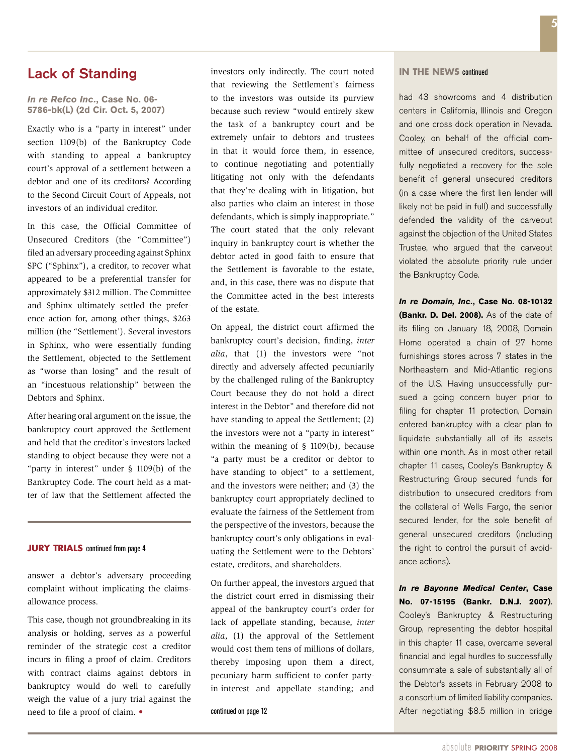## Lack of Standing

#### *In re Refco Inc.***, Case No. 06- 5786-bk(L) (2d Cir. Oct. 5, 2007)**

Exactly who is a "party in interest" under section 1109(b) of the Bankruptcy Code with standing to appeal a bankruptcy court's approval of a settlement between a debtor and one of its creditors? According to the Second Circuit Court of Appeals, not investors of an individual creditor.

In this case, the Official Committee of Unsecured Creditors (the "Committee") filed an adversary proceeding against Sphinx SPC ("Sphinx"), a creditor, to recover what appeared to be a preferential transfer for approximately \$312 million. The Committee and Sphinx ultimately settled the preference action for, among other things, \$263 million (the "Settlement'). Several investors in Sphinx, who were essentially funding the Settlement, objected to the Settlement as "worse than losing" and the result of an "incestuous relationship" between the Debtors and Sphinx.

After hearing oral argument on the issue, the bankruptcy court approved the Settlement and held that the creditor's investors lacked standing to object because they were not a "party in interest" under § 1109(b) of the Bankruptcy Code. The court held as a matter of law that the Settlement affected the

#### **JURY TRIALS** continued from page 4

answer a debtor's adversary proceeding complaint without implicating the claimsallowance process.

This case, though not groundbreaking in its analysis or holding, serves as a powerful reminder of the strategic cost a creditor incurs in filing a proof of claim. Creditors with contract claims against debtors in bankruptcy would do well to carefully weigh the value of a jury trial against the need to file a proof of claim. •

investors only indirectly. The court noted that reviewing the Settlement's fairness to the investors was outside its purview because such review "would entirely skew the task of a bankruptcy court and be extremely unfair to debtors and trustees in that it would force them, in essence, to continue negotiating and potentially litigating not only with the defendants that they're dealing with in litigation, but also parties who claim an interest in those defendants, which is simply inappropriate." The court stated that the only relevant inquiry in bankruptcy court is whether the debtor acted in good faith to ensure that the Settlement is favorable to the estate, and, in this case, there was no dispute that the Committee acted in the best interests of the estate.

On appeal, the district court affirmed the bankruptcy court's decision, finding, *inter alia*, that (1) the investors were "not directly and adversely affected pecuniarily by the challenged ruling of the Bankruptcy Court because they do not hold a direct interest in the Debtor" and therefore did not have standing to appeal the Settlement; (2) the investors were not a "party in interest" within the meaning of § 1109(b), because "a party must be a creditor or debtor to have standing to object" to a settlement, and the investors were neither; and (3) the bankruptcy court appropriately declined to evaluate the fairness of the Settlement from the perspective of the investors, because the bankruptcy court's only obligations in evaluating the Settlement were to the Debtors' estate, creditors, and shareholders.

On further appeal, the investors argued that the district court erred in dismissing their appeal of the bankruptcy court's order for lack of appellate standing, because, *inter alia*, (1) the approval of the Settlement would cost them tens of millions of dollars, thereby imposing upon them a direct, pecuniary harm sufficient to confer partyin-interest and appellate standing; and

#### continued on page 12

#### **In the News** continued

had 43 showrooms and 4 distribution centers in California, Illinois and Oregon and one cross dock operation in Nevada. Cooley, on behalf of the official committee of unsecured creditors, successfully negotiated a recovery for the sole benefit of general unsecured creditors (in a case where the first lien lender will likely not be paid in full) and successfully defended the validity of the carveout against the objection of the United States Trustee, who argued that the carveout violated the absolute priority rule under the Bankruptcy Code.

*In re Domain, Inc.***, Case No. 08-10132 (Bankr. D. Del. 2008).** As of the date of its filing on January 18, 2008, Domain Home operated a chain of 27 home furnishings stores across 7 states in the Northeastern and Mid-Atlantic regions of the U.S. Having unsuccessfully pursued a going concern buyer prior to filing for chapter 11 protection, Domain entered bankruptcy with a clear plan to liquidate substantially all of its assets within one month. As in most other retail chapter 11 cases, Cooley's Bankruptcy & Restructuring Group secured funds for distribution to unsecured creditors from the collateral of Wells Fargo, the senior secured lender, for the sole benefit of general unsecured creditors (including the right to control the pursuit of avoidance actions).

*In re Bayonne Medical Center***, Case No. 07-15195 (Bankr. D.N.J. 2007)**. Cooley's Bankruptcy & Restructuring Group, representing the debtor hospital in this chapter 11 case, overcame several financial and legal hurdles to successfully consummate a sale of substantially all of the Debtor's assets in February 2008 to a consortium of limited liability companies. After negotiating \$8.5 million in bridge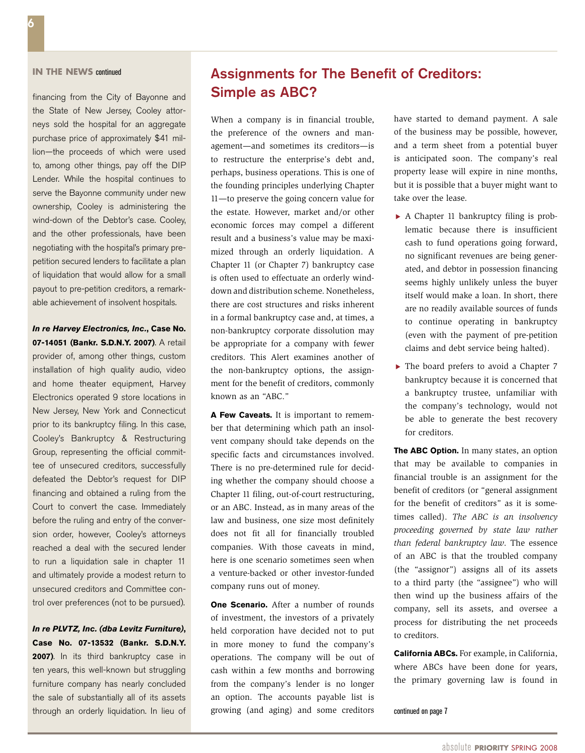### **In the News** continued

financing from the City of Bayonne and the State of New Jersey, Cooley attorneys sold the hospital for an aggregate purchase price of approximately \$41 million—the proceeds of which were used to, among other things, pay off the DIP Lender. While the hospital continues to serve the Bayonne community under new ownership, Cooley is administering the wind-down of the Debtor's case. Cooley, and the other professionals, have been negotiating with the hospital's primary prepetition secured lenders to facilitate a plan of liquidation that would allow for a small payout to pre-petition creditors, a remarkable achievement of insolvent hospitals.

*In re Harvey Electronics, Inc.***, Case No. 07-14051 (Bankr. S.D.N.Y. 2007)**. A retail provider of, among other things, custom installation of high quality audio, video and home theater equipment, Harvey Electronics operated 9 store locations in New Jersey, New York and Connecticut prior to its bankruptcy filing. In this case, Cooley's Bankruptcy & Restructuring Group, representing the official committee of unsecured creditors, successfully defeated the Debtor's request for DIP financing and obtained a ruling from the Court to convert the case. Immediately before the ruling and entry of the conversion order, however, Cooley's attorneys reached a deal with the secured lender to run a liquidation sale in chapter 11 and ultimately provide a modest return to unsecured creditors and Committee control over preferences (not to be pursued).

### *In re PLVTZ, Inc. (dba Levitz Furniture)***, Case No. 07-13532 (Bankr. S.D.N.Y. 2007)**. In its third bankruptcy case in ten years, this well-known but struggling furniture company has nearly concluded the sale of substantially all of its assets through an orderly liquidation. In lieu of

# Assignments for The Benefit of Creditors: Simple as ABC?

When a company is in financial trouble, the preference of the owners and management—and sometimes its creditors—is to restructure the enterprise's debt and, perhaps, business operations. This is one of the founding principles underlying Chapter 11—to preserve the going concern value for the estate. However, market and/or other economic forces may compel a different result and a business's value may be maximized through an orderly liquidation. A Chapter 11 (or Chapter 7) bankruptcy case is often used to effectuate an orderly winddown and distribution scheme. Nonetheless, there are cost structures and risks inherent in a formal bankruptcy case and, at times, a non-bankruptcy corporate dissolution may be appropriate for a company with fewer creditors. This Alert examines another of the non-bankruptcy options, the assignment for the benefit of creditors, commonly known as an "ABC."

**A Few Caveats.** It is important to remember that determining which path an insolvent company should take depends on the specific facts and circumstances involved. There is no pre-determined rule for deciding whether the company should choose a Chapter 11 filing, out-of-court restructuring, or an ABC. Instead, as in many areas of the law and business, one size most definitely does not fit all for financially troubled companies. With those caveats in mind, here is one scenario sometimes seen when a venture-backed or other investor-funded company runs out of money.

**One Scenario.** After a number of rounds of investment, the investors of a privately held corporation have decided not to put in more money to fund the company's operations. The company will be out of cash within a few months and borrowing from the company's lender is no longer an option. The accounts payable list is growing (and aging) and some creditors have started to demand payment. A sale of the business may be possible, however, and a term sheet from a potential buyer is anticipated soon. The company's real property lease will expire in nine months, but it is possible that a buyer might want to take over the lease.

- $\blacktriangleright$  A Chapter 11 bankruptcy filing is problematic because there is insufficient cash to fund operations going forward, no significant revenues are being generated, and debtor in possession financing seems highly unlikely unless the buyer itself would make a loan. In short, there are no readily available sources of funds to continue operating in bankruptcy (even with the payment of pre-petition claims and debt service being halted).
- ▶ The board prefers to avoid a Chapter 7 bankruptcy because it is concerned that a bankruptcy trustee, unfamiliar with the company's technology, would not be able to generate the best recovery for creditors.

**The ABC Option.** In many states, an option that may be available to companies in financial trouble is an assignment for the benefit of creditors (or "general assignment for the benefit of creditors" as it is sometimes called). *The ABC is an insolvency proceeding governed by state law rather than federal bankruptcy law*. The essence of an ABC is that the troubled company (the "assignor") assigns all of its assets to a third party (the "assignee") who will then wind up the business affairs of the company, sell its assets, and oversee a process for distributing the net proceeds to creditors.

**California ABCs.** For example, in California, where ABCs have been done for years, the primary governing law is found in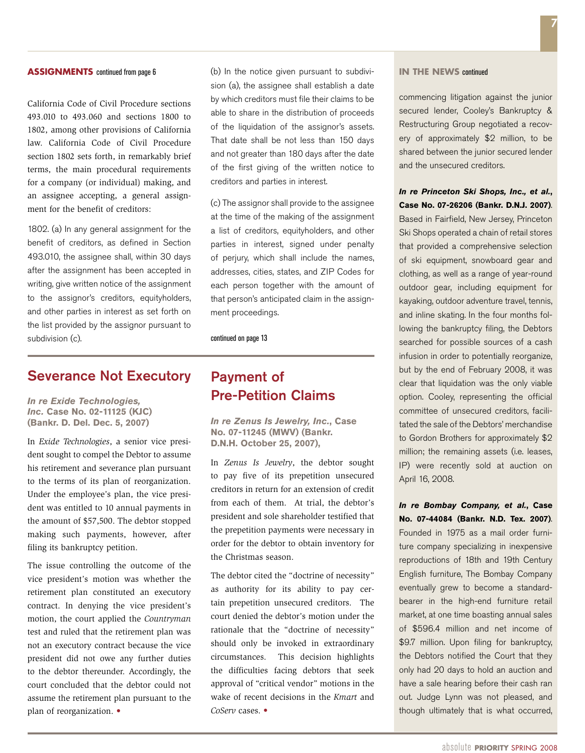California Code of Civil Procedure sections 493.010 to 493.060 and sections 1800 to 1802, among other provisions of California law. California Code of Civil Procedure section 1802 sets forth, in remarkably brief terms, the main procedural requirements for a company (or individual) making, and an assignee accepting, a general assignment for the benefit of creditors:

1802. (a) In any general assignment for the benefit of creditors, as defined in Section 493.010, the assignee shall, within 30 days after the assignment has been accepted in writing, give written notice of the assignment to the assignor's creditors, equityholders, and other parties in interest as set forth on the list provided by the assignor pursuant to subdivision (c).

# Severance Not Executory

*In re Exide Technologies, Inc.* **Case No. 02-11125 (KJC) (Bankr. D. Del. Dec. 5, 2007)**

In *Exide Technologies*, a senior vice president sought to compel the Debtor to assume his retirement and severance plan pursuant to the terms of its plan of reorganization. Under the employee's plan, the vice president was entitled to 10 annual payments in the amount of \$57,500. The debtor stopped making such payments, however, after filing its bankruptcy petition.

The issue controlling the outcome of the vice president's motion was whether the retirement plan constituted an executory contract. In denying the vice president's motion, the court applied the *Countryman*  test and ruled that the retirement plan was not an executory contract because the vice president did not owe any further duties to the debtor thereunder. Accordingly, the court concluded that the debtor could not assume the retirement plan pursuant to the plan of reorganization. •

(b) In the notice given pursuant to subdivision (a), the assignee shall establish a date by which creditors must file their claims to be able to share in the distribution of proceeds of the liquidation of the assignor's assets. That date shall be not less than 150 days and not greater than 180 days after the date of the first giving of the written notice to creditors and parties in interest.

(c) The assignor shall provide to the assignee at the time of the making of the assignment a list of creditors, equityholders, and other parties in interest, signed under penalty of perjury, which shall include the names, addresses, cities, states, and ZIP Codes for each person together with the amount of that person's anticipated claim in the assignment proceedings.

continued on page 13

# Payment of Pre-Petition Claims

*In re Zenus Is Jewelry, Inc.***, Case No. 07-11245 (MWV) (Bankr. D.N.H. October 25, 2007),**

In *Zenus Is Jewelry*, the debtor sought to pay five of its prepetition unsecured creditors in return for an extension of credit from each of them. At trial, the debtor's president and sole shareholder testified that the prepetition payments were necessary in order for the debtor to obtain inventory for the Christmas season.

The debtor cited the "doctrine of necessity" as authority for its ability to pay certain prepetition unsecured creditors. The court denied the debtor's motion under the rationale that the "doctrine of necessity" should only be invoked in extraordinary circumstances. This decision highlights the difficulties facing debtors that seek approval of "critical vendor" motions in the wake of recent decisions in the *Kmart* and *CoServ* cases. •

#### **In the News** continued

commencing litigation against the junior secured lender, Cooley's Bankruptcy & Restructuring Group negotiated a recovery of approximately \$2 million, to be shared between the junior secured lender and the unsecured creditors.

*In re Princeton Ski Shops, Inc., et al.***, Case No. 07-26206 (Bankr. D.N.J. 2007)**. Based in Fairfield, New Jersey, Princeton Ski Shops operated a chain of retail stores that provided a comprehensive selection of ski equipment, snowboard gear and clothing, as well as a range of year-round outdoor gear, including equipment for kayaking, outdoor adventure travel, tennis, and inline skating. In the four months following the bankruptcy filing, the Debtors searched for possible sources of a cash infusion in order to potentially reorganize, but by the end of February 2008, it was clear that liquidation was the only viable option. Cooley, representing the official committee of unsecured creditors, facilitated the sale of the Debtors' merchandise to Gordon Brothers for approximately \$2 million; the remaining assets (i.e. leases, IP) were recently sold at auction on April 16, 2008.

*In re Bombay Company, et al.***, Case No. 07-44084 (Bankr. N.D. Tex. 2007)**. Founded in 1975 as a mail order furniture company specializing in inexpensive reproductions of 18th and 19th Century English furniture, The Bombay Company eventually grew to become a standardbearer in the high-end furniture retail market, at one time boasting annual sales of \$596.4 million and net income of \$9.7 million. Upon filing for bankruptcy. the Debtors notified the Court that they only had 20 days to hold an auction and have a sale hearing before their cash ran out. Judge Lynn was not pleased, and though ultimately that is what occurred,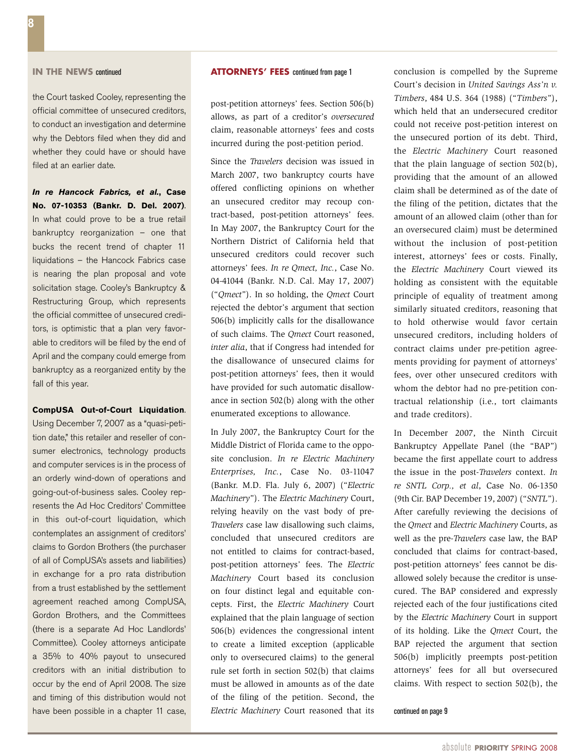the Court tasked Cooley, representing the official committee of unsecured creditors, to conduct an investigation and determine why the Debtors filed when they did and whether they could have or should have filed at an earlier date.

*In re Hancock Fabrics, et al.***, Case No. 07-10353 (Bankr. D. Del. 2007)**. In what could prove to be a true retail bankruptcy reorganization – one that bucks the recent trend of chapter 11 liquidations – the Hancock Fabrics case is nearing the plan proposal and vote solicitation stage. Cooley's Bankruptcy & Restructuring Group, which represents the official committee of unsecured creditors, is optimistic that a plan very favorable to creditors will be filed by the end of April and the company could emerge from bankruptcy as a reorganized entity by the fall of this year.

#### **CompUSA Out-of-Court Liquidation**.

Using December 7, 2007 as a "quasi-petition date," this retailer and reseller of consumer electronics, technology products and computer services is in the process of an orderly wind-down of operations and going-out-of-business sales. Cooley represents the Ad Hoc Creditors' Committee in this out-of-court liquidation, which contemplates an assignment of creditors' claims to Gordon Brothers (the purchaser of all of CompUSA's assets and liabilities) in exchange for a pro rata distribution from a trust established by the settlement agreement reached among CompUSA, Gordon Brothers, and the Committees (there is a separate Ad Hoc Landlords' Committee). Cooley attorneys anticipate a 35% to 40% payout to unsecured creditors with an initial distribution to occur by the end of April 2008. The size and timing of this distribution would not have been possible in a chapter 11 case,

### **IN THE NEWS continued <b>ATTORNEYS' FEES** continued from page 1

post-petition attorneys' fees. Section 506(b) allows, as part of a creditor's *oversecured* claim, reasonable attorneys' fees and costs incurred during the post-petition period.

Since the *Travelers* decision was issued in March 2007, two bankruptcy courts have offered conflicting opinions on whether an unsecured creditor may recoup contract-based, post-petition attorneys' fees. In May 2007, the Bankruptcy Court for the Northern District of California held that unsecured creditors could recover such attorneys' fees. *In re Qmect, Inc.*, Case No. 04-41044 (Bankr. N.D. Cal. May 17, 2007) ("*Qmect*"). In so holding, the *Qmect* Court rejected the debtor's argument that section 506(b) implicitly calls for the disallowance of such claims. The *Qmect* Court reasoned, *inter alia*, that if Congress had intended for the disallowance of unsecured claims for post-petition attorneys' fees, then it would have provided for such automatic disallowance in section 502(b) along with the other enumerated exceptions to allowance.

In July 2007, the Bankruptcy Court for the Middle District of Florida came to the opposite conclusion. *In re Electric Machinery Enterprises, Inc.*, Case No. 03-11047 (Bankr. M.D. Fla. July 6, 2007) ("*Electric Machinery*"). The *Electric Machinery* Court, relying heavily on the vast body of pre-*Travelers* case law disallowing such claims, concluded that unsecured creditors are not entitled to claims for contract-based, post-petition attorneys' fees. The *Electric Machinery* Court based its conclusion on four distinct legal and equitable concepts. First, the *Electric Machinery* Court explained that the plain language of section 506(b) evidences the congressional intent to create a limited exception (applicable only to oversecured claims) to the general rule set forth in section 502(b) that claims must be allowed in amounts as of the date of the filing of the petition. Second, the *Electric Machinery* Court reasoned that its

conclusion is compelled by the Supreme Court's decision in *United Savings Ass'n v. Timbers*, 484 U.S. 364 (1988) ("*Timbers*"), which held that an undersecured creditor could not receive post-petition interest on the unsecured portion of its debt. Third, the *Electric Machinery* Court reasoned that the plain language of section 502(b), providing that the amount of an allowed claim shall be determined as of the date of the filing of the petition, dictates that the amount of an allowed claim (other than for an oversecured claim) must be determined without the inclusion of post-petition interest, attorneys' fees or costs. Finally, the *Electric Machinery* Court viewed its holding as consistent with the equitable principle of equality of treatment among similarly situated creditors, reasoning that to hold otherwise would favor certain unsecured creditors, including holders of contract claims under pre-petition agreements providing for payment of attorneys' fees, over other unsecured creditors with whom the debtor had no pre-petition contractual relationship (i.e., tort claimants and trade creditors).

In December 2007, the Ninth Circuit Bankruptcy Appellate Panel (the "BAP") became the first appellate court to address the issue in the post-*Travelers* context. *In re SNTL Corp., et al*, Case No. 06-1350 (9th Cir. BAP December 19, 2007) ("*SNTL*"). After carefully reviewing the decisions of the *Qmect* and *Electric Machinery* Courts, as well as the pre-*Travelers* case law, the BAP concluded that claims for contract-based, post-petition attorneys' fees cannot be disallowed solely because the creditor is unsecured. The BAP considered and expressly rejected each of the four justifications cited by the *Electric Machinery* Court in support of its holding. Like the *Qmect* Court, the BAP rejected the argument that section 506(b) implicitly preempts post-petition attorneys' fees for all but oversecured claims. With respect to section 502(b), the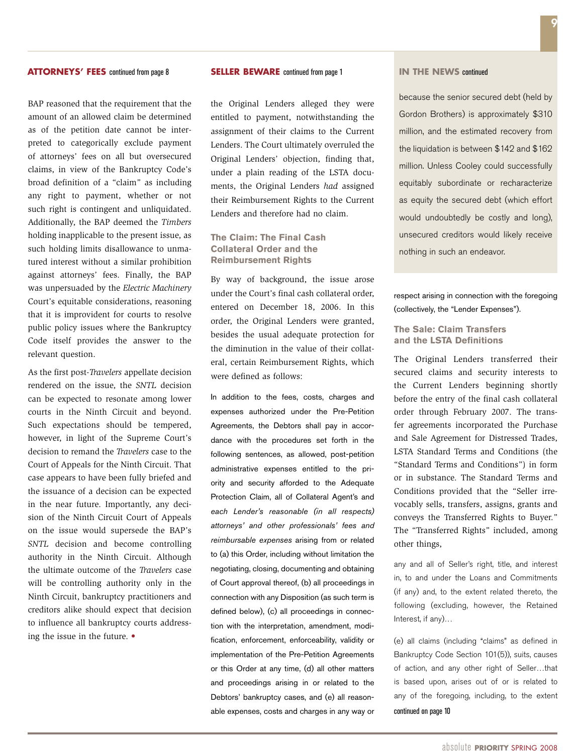#### **ATTORNEYS' FEES** continued from page 8

BAP reasoned that the requirement that the amount of an allowed claim be determined as of the petition date cannot be interpreted to categorically exclude payment of attorneys' fees on all but oversecured claims, in view of the Bankruptcy Code's broad definition of a "claim" as including any right to payment, whether or not such right is contingent and unliquidated. Additionally, the BAP deemed the *Timbers* holding inapplicable to the present issue, as such holding limits disallowance to unmatured interest without a similar prohibition against attorneys' fees. Finally, the BAP was unpersuaded by the *Electric Machinery* Court's equitable considerations, reasoning that it is improvident for courts to resolve public policy issues where the Bankruptcy Code itself provides the answer to the relevant question.

As the first post-*Travelers* appellate decision rendered on the issue, the *SNTL* decision can be expected to resonate among lower courts in the Ninth Circuit and beyond. Such expectations should be tempered, however, in light of the Supreme Court's decision to remand the *Travelers* case to the Court of Appeals for the Ninth Circuit. That case appears to have been fully briefed and the issuance of a decision can be expected in the near future. Importantly, any decision of the Ninth Circuit Court of Appeals on the issue would supersede the BAP's *SNTL* decision and become controlling authority in the Ninth Circuit. Although the ultimate outcome of the *Travelers* case will be controlling authority only in the Ninth Circuit, bankruptcy practitioners and creditors alike should expect that decision to influence all bankruptcy courts addressing the issue in the future. •

#### **SELLER BEWARE** continued from page 1

the Original Lenders alleged they were entitled to payment, notwithstanding the assignment of their claims to the Current Lenders. The Court ultimately overruled the Original Lenders' objection, finding that, under a plain reading of the LSTA documents, the Original Lenders *had* assigned their Reimbursement Rights to the Current Lenders and therefore had no claim.

### **The Claim: The Final Cash Collateral Order and the Reimbursement Rights**

By way of background, the issue arose under the Court's final cash collateral order, entered on December 18, 2006. In this order, the Original Lenders were granted, besides the usual adequate protection for the diminution in the value of their collateral, certain Reimbursement Rights, which were defined as follows:

In addition to the fees, costs, charges and expenses authorized under the Pre-Petition Agreements, the Debtors shall pay in accordance with the procedures set forth in the following sentences, as allowed, post-petition administrative expenses entitled to the priority and security afforded to the Adequate Protection Claim, all of Collateral Agent's and *each Lender's reasonable (in all respects) attorneys' and other professionals' fees and reimbursable expenses* arising from or related to (a) this Order, including without limitation the negotiating, closing, documenting and obtaining of Court approval thereof, (b) all proceedings in connection with any Disposition (as such term is defined below), (c) all proceedings in connection with the interpretation, amendment, modification, enforcement, enforceability, validity or implementation of the Pre-Petition Agreements or this Order at any time, (d) all other matters and proceedings arising in or related to the Debtors' bankruptcy cases, and (e) all reasonable expenses, costs and charges in any way or

#### **In the News** continued

because the senior secured debt (held by Gordon Brothers) is approximately \$310 million, and the estimated recovery from the liquidation is between \$142 and \$162 million. Unless Cooley could successfully equitably subordinate or recharacterize as equity the secured debt (which effort would undoubtedly be costly and long), unsecured creditors would likely receive nothing in such an endeavor.

respect arising in connection with the foregoing (collectively, the "Lender Expenses").

#### **The Sale: Claim Transfers and the LSTA Definitions**

The Original Lenders transferred their secured claims and security interests to the Current Lenders beginning shortly before the entry of the final cash collateral order through February 2007. The transfer agreements incorporated the Purchase and Sale Agreement for Distressed Trades, LSTA Standard Terms and Conditions (the "Standard Terms and Conditions") in form or in substance. The Standard Terms and Conditions provided that the "Seller irrevocably sells, transfers, assigns, grants and conveys the Transferred Rights to Buyer." The "Transferred Rights" included, among other things,

any and all of Seller's right, title, and interest in, to and under the Loans and Commitments (if any) and, to the extent related thereto, the following (excluding, however, the Retained Interest, if any)…

(e) all claims (including "claims" as defined in Bankruptcy Code Section 101(5)), suits, causes of action, and any other right of Seller…that is based upon, arises out of or is related to any of the foregoing, including, to the extent continued on page 10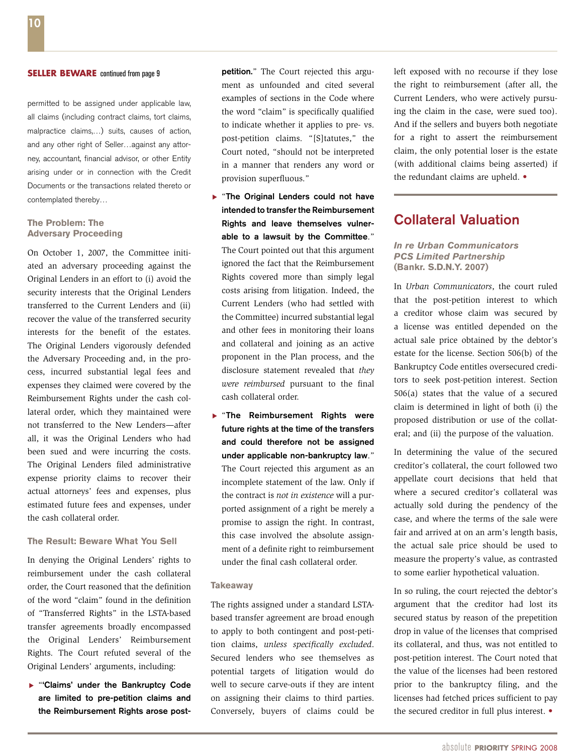#### **SELLER BEWARE** continued from page 9

permitted to be assigned under applicable law, all claims (including contract claims, tort claims, malpractice claims,…) suits, causes of action, and any other right of Seller…against any attorney, accountant, financial advisor, or other Entity arising under or in connection with the Credit Documents or the transactions related thereto or contemplated thereby…

#### **The Problem: The Adversary Proceeding**

On October 1, 2007, the Committee initiated an adversary proceeding against the Original Lenders in an effort to (i) avoid the security interests that the Original Lenders transferred to the Current Lenders and (ii) recover the value of the transferred security interests for the benefit of the estates. The Original Lenders vigorously defended the Adversary Proceeding and, in the process, incurred substantial legal fees and expenses they claimed were covered by the Reimbursement Rights under the cash collateral order, which they maintained were not transferred to the New Lenders—after all, it was the Original Lenders who had been sued and were incurring the costs. The Original Lenders filed administrative expense priority claims to recover their actual attorneys' fees and expenses, plus estimated future fees and expenses, under the cash collateral order.

#### **The Result: Beware What You Sell**

In denying the Original Lenders' rights to reimbursement under the cash collateral order, the Court reasoned that the definition of the word "claim" found in the definition of "Transferred Rights" in the LSTA-based transfer agreements broadly encompassed the Original Lenders' Reimbursement Rights. The Court refuted several of the Original Lenders' arguments, including:

**E** "Claims' under the Bankruptcy Code are limited to pre-petition claims and the Reimbursement Rights arose postpetition." The Court rejected this argument as unfounded and cited several examples of sections in the Code where the word "claim" is specifically qualified to indicate whether it applies to pre- vs. post-petition claims. "[S]tatutes," the Court noted, "should not be interpreted in a manner that renders any word or provision superfluous."

- ▶ "The Original Lenders could not have intended to transfer the Reimbursement Rights and leave themselves vulnerable to a lawsuit by the Committee." The Court pointed out that this argument ignored the fact that the Reimbursement Rights covered more than simply legal costs arising from litigation. Indeed, the Current Lenders (who had settled with the Committee) incurred substantial legal and other fees in monitoring their loans and collateral and joining as an active proponent in the Plan process, and the disclosure statement revealed that *they were reimbursed* pursuant to the final cash collateral order.
- **F** "The Reimbursement Rights were future rights at the time of the transfers and could therefore not be assigned under applicable non-bankruptcy law." The Court rejected this argument as an incomplete statement of the law. Only if the contract is *not in existence* will a purported assignment of a right be merely a promise to assign the right. In contrast, this case involved the absolute assignment of a definite right to reimbursement under the final cash collateral order.

#### **Takeaway**

The rights assigned under a standard LSTAbased transfer agreement are broad enough to apply to both contingent and post-petition claims, *unless specifically excluded*. Secured lenders who see themselves as potential targets of litigation would do well to secure carve-outs if they are intent on assigning their claims to third parties. Conversely, buyers of claims could be

left exposed with no recourse if they lose the right to reimbursement (after all, the Current Lenders, who were actively pursuing the claim in the case, were sued too). And if the sellers and buyers both negotiate for a right to assert the reimbursement claim, the only potential loser is the estate (with additional claims being asserted) if the redundant claims are upheld. •

## Collateral Valuation

#### *In re Urban Communicators PCS Limited Partnership* **(Bankr. S.D.N.Y. 2007)**

In *Urban Communicators*, the court ruled that the post-petition interest to which a creditor whose claim was secured by a license was entitled depended on the actual sale price obtained by the debtor's estate for the license. Section 506(b) of the Bankruptcy Code entitles oversecured creditors to seek post-petition interest. Section 506(a) states that the value of a secured claim is determined in light of both (i) the proposed distribution or use of the collateral; and (ii) the purpose of the valuation.

In determining the value of the secured creditor's collateral, the court followed two appellate court decisions that held that where a secured creditor's collateral was actually sold during the pendency of the case, and where the terms of the sale were fair and arrived at on an arm's length basis, the actual sale price should be used to measure the property's value, as contrasted to some earlier hypothetical valuation.

In so ruling, the court rejected the debtor's argument that the creditor had lost its secured status by reason of the prepetition drop in value of the licenses that comprised its collateral, and thus, was not entitled to post-petition interest. The Court noted that the value of the licenses had been restored prior to the bankruptcy filing, and the licenses had fetched prices sufficient to pay the secured creditor in full plus interest. •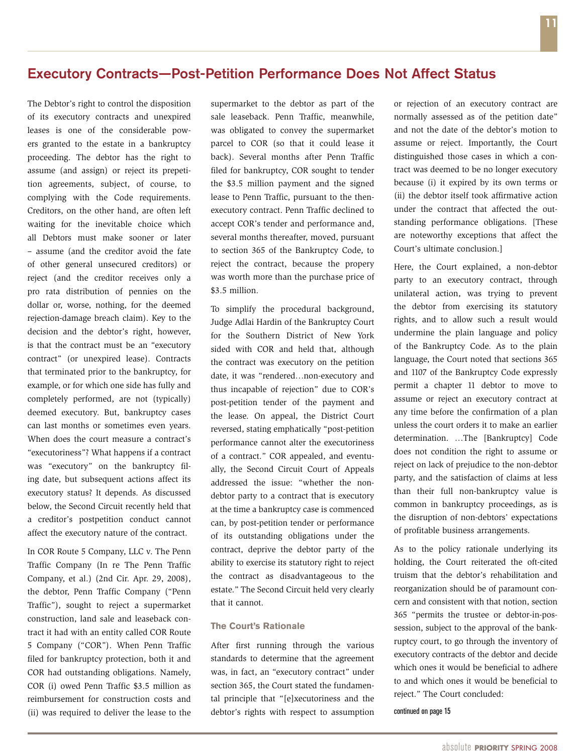# Executory Contracts—Post-Petition Performance Does Not Affect Status

The Debtor's right to control the disposition of its executory contracts and unexpired leases is one of the considerable powers granted to the estate in a bankruptcy proceeding. The debtor has the right to assume (and assign) or reject its prepetition agreements, subject, of course, to complying with the Code requirements. Creditors, on the other hand, are often left waiting for the inevitable choice which all Debtors must make sooner or later – assume (and the creditor avoid the fate of other general unsecured creditors) or reject (and the creditor receives only a pro rata distribution of pennies on the dollar or, worse, nothing, for the deemed rejection-damage breach claim). Key to the decision and the debtor's right, however, is that the contract must be an "executory contract" (or unexpired lease). Contracts that terminated prior to the bankruptcy, for example, or for which one side has fully and completely performed, are not (typically) deemed executory. But, bankruptcy cases can last months or sometimes even years. When does the court measure a contract's "executoriness"? What happens if a contract was "executory" on the bankruptcy filing date, but subsequent actions affect its executory status? It depends. As discussed below, the Second Circuit recently held that a creditor's postpetition conduct cannot affect the executory nature of the contract.

In COR Route 5 Company, LLC v. The Penn Traffic Company (In re The Penn Traffic Company, et al.) (2nd Cir. Apr. 29, 2008), the debtor, Penn Traffic Company ("Penn Traffic"), sought to reject a supermarket construction, land sale and leaseback contract it had with an entity called COR Route 5 Company ("COR"). When Penn Traffic filed for bankruptcy protection, both it and COR had outstanding obligations. Namely, COR (i) owed Penn Traffic \$3.5 million as reimbursement for construction costs and (ii) was required to deliver the lease to the supermarket to the debtor as part of the sale leaseback. Penn Traffic, meanwhile, was obligated to convey the supermarket parcel to COR (so that it could lease it back). Several months after Penn Traffic filed for bankruptcy, COR sought to tender the \$3.5 million payment and the signed lease to Penn Traffic, pursuant to the thenexecutory contract. Penn Traffic declined to accept COR's tender and performance and, several months thereafter, moved, pursuant to section 365 of the Bankruptcy Code, to reject the contract, because the propery was worth more than the purchase price of \$3.5 million.

To simplify the procedural background, Judge Adlai Hardin of the Bankruptcy Court for the Southern District of New York sided with COR and held that, although the contract was executory on the petition date, it was "rendered…non-executory and thus incapable of rejection" due to COR's post-petition tender of the payment and the lease. On appeal, the District Court reversed, stating emphatically "post-petition performance cannot alter the executoriness of a contract." COR appealed, and eventually, the Second Circuit Court of Appeals addressed the issue: "whether the nondebtor party to a contract that is executory at the time a bankruptcy case is commenced can, by post-petition tender or performance of its outstanding obligations under the contract, deprive the debtor party of the ability to exercise its statutory right to reject the contract as disadvantageous to the estate." The Second Circuit held very clearly that it cannot.

### **The Court's Rationale**

After first running through the various standards to determine that the agreement was, in fact, an "executory contract" under section 365, the Court stated the fundamental principle that "[e]xecutoriness and the debtor's rights with respect to assumption or rejection of an executory contract are normally assessed as of the petition date" and not the date of the debtor's motion to assume or reject. Importantly, the Court distinguished those cases in which a contract was deemed to be no longer executory because (i) it expired by its own terms or (ii) the debtor itself took affirmative action under the contract that affected the outstanding performance obligations. [These are noteworthy exceptions that affect the Court's ultimate conclusion.]

Here, the Court explained, a non-debtor party to an executory contract, through unilateral action, was trying to prevent the debtor from exercising its statutory rights, and to allow such a result would undermine the plain language and policy of the Bankruptcy Code. As to the plain language, the Court noted that sections 365 and 1107 of the Bankruptcy Code expressly permit a chapter 11 debtor to move to assume or reject an executory contract at any time before the confirmation of a plan unless the court orders it to make an earlier determination. …The [Bankruptcy] Code does not condition the right to assume or reject on lack of prejudice to the non-debtor party, and the satisfaction of claims at less than their full non-bankruptcy value is common in bankruptcy proceedings, as is the disruption of non-debtors' expectations of profitable business arrangements.

As to the policy rationale underlying its holding, the Court reiterated the oft-cited truism that the debtor's rehabilitation and reorganization should be of paramount concern and consistent with that notion, section 365 "permits the trustee or debtor-in-possession, subject to the approval of the bankruptcy court, to go through the inventory of executory contracts of the debtor and decide which ones it would be beneficial to adhere to and which ones it would be beneficial to reject." The Court concluded: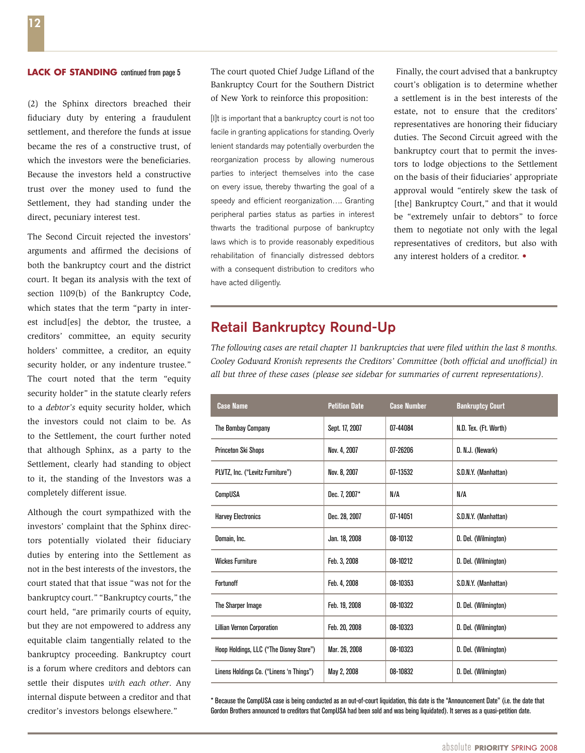(2) the Sphinx directors breached their fiduciary duty by entering a fraudulent settlement, and therefore the funds at issue became the res of a constructive trust, of which the investors were the beneficiaries. Because the investors held a constructive trust over the money used to fund the Settlement, they had standing under the direct, pecuniary interest test.

The Second Circuit rejected the investors' arguments and affirmed the decisions of both the bankruptcy court and the district court. It began its analysis with the text of section 1109(b) of the Bankruptcy Code, which states that the term "party in interest includ[es] the debtor, the trustee, a creditors' committee, an equity security holders' committee, a creditor, an equity security holder, or any indenture trustee." The court noted that the term "equity security holder" in the statute clearly refers to a *debtor's* equity security holder, which the investors could not claim to be. As to the Settlement, the court further noted that although Sphinx, as a party to the Settlement, clearly had standing to object to it, the standing of the Investors was a completely different issue.

Although the court sympathized with the investors' complaint that the Sphinx directors potentially violated their fiduciary duties by entering into the Settlement as not in the best interests of the investors, the court stated that that issue "was not for the bankruptcy court." "Bankruptcy courts," the court held, "are primarily courts of equity, but they are not empowered to address any equitable claim tangentially related to the bankruptcy proceeding. Bankruptcy court is a forum where creditors and debtors can settle their disputes *with each other*. Any internal dispute between a creditor and that creditor's investors belongs elsewhere."

The court quoted Chief Judge Lifland of the Bankruptcy Court for the Southern District of New York to reinforce this proposition: **LACK OF STANDING** continued from page 5 The court quoted Chief Judge Lifland of the Finally, the court advised that a bankruptcy

> [I]t is important that a bankruptcy court is not too facile in granting applications for standing. Overly lenient standards may potentially overburden the reorganization process by allowing numerous parties to interject themselves into the case on every issue, thereby thwarting the goal of a speedy and efficient reorganization.... Granting peripheral parties status as parties in interest thwarts the traditional purpose of bankruptcy laws which is to provide reasonably expeditious rehabilitation of financially distressed debtors with a consequent distribution to creditors who have acted diligently.

court's obligation is to determine whether a settlement is in the best interests of the estate, not to ensure that the creditors' representatives are honoring their fiduciary duties. The Second Circuit agreed with the bankruptcy court that to permit the investors to lodge objections to the Settlement on the basis of their fiduciaries' appropriate approval would "entirely skew the task of [the] Bankruptcy Court," and that it would be "extremely unfair to debtors" to force them to negotiate not only with the legal representatives of creditors, but also with any interest holders of a creditor. •

# Retail Bankruptcy Round-Up

*The following cases are retail chapter 11 bankruptcies that were filed within the last 8 months. Cooley Godward Kronish represents the Creditors' Committee (both official and unofficial) in all but three of these cases (please see sidebar for summaries of current representations).*

| <b>Case Name</b>                         | <b>Petition Date</b> | <b>Case Number</b> | <b>Bankruptcy Court</b> |
|------------------------------------------|----------------------|--------------------|-------------------------|
| The Bombay Company                       | Sept. 17, 2007       | 07-44084           | N.D. Tex. (Ft. Worth)   |
| Princeton Ski Shops                      | Nov. 4, 2007         | 07-26206           | D. N.J. (Newark)        |
| PLVTZ, Inc. ("Levitz Furniture")         | Nov. 8, 2007         | 07-13532           | S.D.N.Y. (Manhattan)    |
| CompUSA                                  | Dec. 7, 2007*        | N/A                | N/A                     |
| <b>Harvey Electronics</b>                | Dec. 28, 2007        | 07-14051           | S.D.N.Y. (Manhattan)    |
| Domain, Inc.                             | Jan. 18, 2008        | 08-10132           | D. Del. (Wilmington)    |
| <b>Wickes Furniture</b>                  | Feb. 3, 2008         | 08-10212           | D. Del. (Wilmington)    |
| Fortunoff                                | Feb. 4, 2008         | 08-10353           | S.D.N.Y. (Manhattan)    |
| The Sharper Image                        | Feb. 19, 2008        | 08-10322           | D. Del. (Wilmington)    |
| <b>Lillian Vernon Corporation</b>        | Feb. 20, 2008        | 08-10323           | D. Del. (Wilmington)    |
| Hoop Holdings, LLC ("The Disney Store")  | Mar. 26, 2008        | 08-10323           | D. Del. (Wilmington)    |
| Linens Holdings Co. ("Linens 'n Things") | May 2, 2008          | 08-10832           | D. Del. (Wilmington)    |

\* Because the CompUSA case is being conducted as an out-of-court liquidation, this date is the "Announcement Date" (i.e. the date that Gordon Brothers announced to creditors that CompUSA had been sold and was being liquidated). It serves as a quasi-petition date.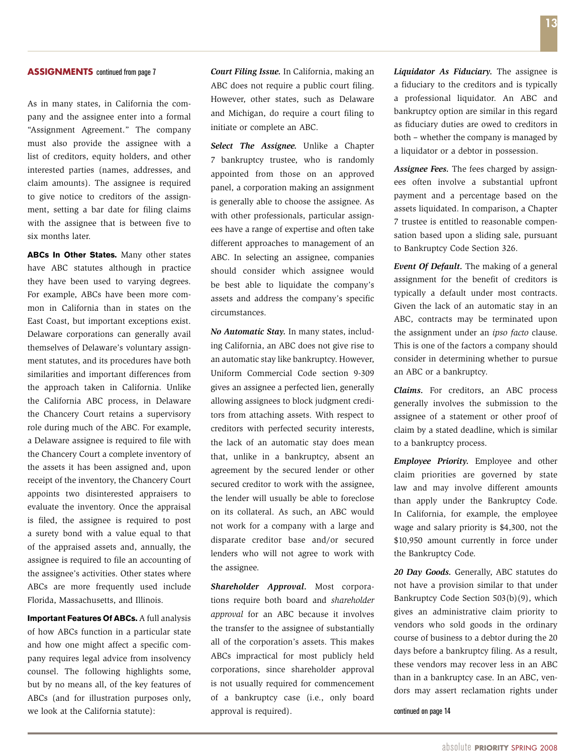As in many states, in California the company and the assignee enter into a formal "Assignment Agreement." The company must also provide the assignee with a list of creditors, equity holders, and other interested parties (names, addresses, and claim amounts). The assignee is required to give notice to creditors of the assignment, setting a bar date for filing claims with the assignee that is between five to six months later.

**ABCs In Other States.** Many other states have ABC statutes although in practice they have been used to varying degrees. For example, ABCs have been more common in California than in states on the East Coast, but important exceptions exist. Delaware corporations can generally avail themselves of Delaware's voluntary assignment statutes, and its procedures have both similarities and important differences from the approach taken in California. Unlike the California ABC process, in Delaware the Chancery Court retains a supervisory role during much of the ABC. For example, a Delaware assignee is required to file with the Chancery Court a complete inventory of the assets it has been assigned and, upon receipt of the inventory, the Chancery Court appoints two disinterested appraisers to evaluate the inventory. Once the appraisal is filed, the assignee is required to post a surety bond with a value equal to that of the appraised assets and, annually, the assignee is required to file an accounting of the assignee's activities. Other states where ABCs are more frequently used include Florida, Massachusetts, and Illinois.

**Important Features Of ABCs.** A full analysis of how ABCs function in a particular state and how one might affect a specific company requires legal advice from insolvency counsel. The following highlights some, but by no means all, of the key features of ABCs (and for illustration purposes only, we look at the California statute):

*Court Filing Issue.* In California, making an ABC does not require a public court filing. However, other states, such as Delaware and Michigan, do require a court filing to initiate or complete an ABC.

*Select The Assignee.* Unlike a Chapter 7 bankruptcy trustee, who is randomly appointed from those on an approved panel, a corporation making an assignment is generally able to choose the assignee. As with other professionals, particular assignees have a range of expertise and often take different approaches to management of an ABC. In selecting an assignee, companies should consider which assignee would be best able to liquidate the company's assets and address the company's specific circumstances.

*No Automatic Stay.* In many states, including California, an ABC does not give rise to an automatic stay like bankruptcy. However, Uniform Commercial Code section 9-309 gives an assignee a perfected lien, generally allowing assignees to block judgment creditors from attaching assets. With respect to creditors with perfected security interests, the lack of an automatic stay does mean that, unlike in a bankruptcy, absent an agreement by the secured lender or other secured creditor to work with the assignee, the lender will usually be able to foreclose on its collateral. As such, an ABC would not work for a company with a large and disparate creditor base and/or secured lenders who will not agree to work with the assignee.

*Shareholder Approval.* Most corporations require both board and *shareholder approval* for an ABC because it involves the transfer to the assignee of substantially all of the corporation's assets. This makes ABCs impractical for most publicly held corporations, since shareholder approval is not usually required for commencement of a bankruptcy case (i.e., only board approval is required).

*Liquidator As Fiduciary.* The assignee is a fiduciary to the creditors and is typically a professional liquidator. An ABC and bankruptcy option are similar in this regard as fiduciary duties are owed to creditors in both – whether the company is managed by a liquidator or a debtor in possession.

*Assignee Fees.* The fees charged by assignees often involve a substantial upfront payment and a percentage based on the assets liquidated. In comparison, a Chapter 7 trustee is entitled to reasonable compensation based upon a sliding sale, pursuant to Bankruptcy Code Section 326.

*Event Of Default.* The making of a general assignment for the benefit of creditors is typically a default under most contracts. Given the lack of an automatic stay in an ABC, contracts may be terminated upon the assignment under an *ipso facto* clause. This is one of the factors a company should consider in determining whether to pursue an ABC or a bankruptcy.

*Claims.* For creditors, an ABC process generally involves the submission to the assignee of a statement or other proof of claim by a stated deadline, which is similar to a bankruptcy process.

*Employee Priority.* Employee and other claim priorities are governed by state law and may involve different amounts than apply under the Bankruptcy Code. In California, for example, the employee wage and salary priority is \$4,300, not the \$10,950 amount currently in force under the Bankruptcy Code.

*20 Day Goods.* Generally, ABC statutes do not have a provision similar to that under Bankruptcy Code Section 503(b)(9), which gives an administrative claim priority to vendors who sold goods in the ordinary course of business to a debtor during the 20 days before a bankruptcy filing. As a result, these vendors may recover less in an ABC than in a bankruptcy case. In an ABC, vendors may assert reclamation rights under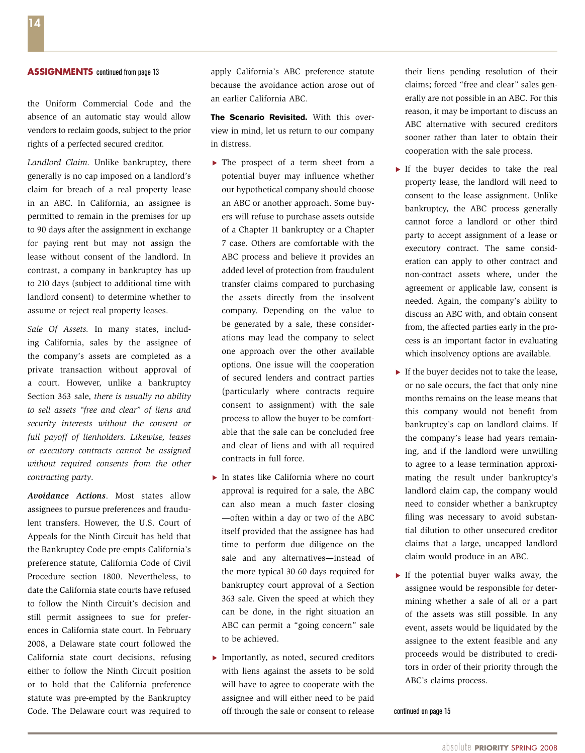the Uniform Commercial Code and the absence of an automatic stay would allow vendors to reclaim goods, subject to the prior rights of a perfected secured creditor.

*Landlord Claim.* Unlike bankruptcy, there generally is no cap imposed on a landlord's claim for breach of a real property lease in an ABC. In California, an assignee is permitted to remain in the premises for up to 90 days after the assignment in exchange for paying rent but may not assign the lease without consent of the landlord. In contrast, a company in bankruptcy has up to 210 days (subject to additional time with landlord consent) to determine whether to assume or reject real property leases.

*Sale Of Assets.* In many states, including California, sales by the assignee of the company's assets are completed as a private transaction without approval of a court. However, unlike a bankruptcy Section 363 sale, *there is usually no ability to sell assets "free and clear" of liens and security interests without the consent or full payoff of lienholders. Likewise, leases or executory contracts cannot be assigned without required consents from the other contracting party*.

*Avoidance Actions*. Most states allow assignees to pursue preferences and fraudulent transfers. However, the U.S. Court of Appeals for the Ninth Circuit has held that the Bankruptcy Code pre-empts California's preference statute, California Code of Civil Procedure section 1800. Nevertheless, to date the California state courts have refused to follow the Ninth Circuit's decision and still permit assignees to sue for preferences in California state court. In February 2008, a Delaware state court followed the California state court decisions, refusing either to follow the Ninth Circuit position or to hold that the California preference statute was pre-empted by the Bankruptcy Code. The Delaware court was required to

apply California's ABC preference statute because the avoidance action arose out of an earlier California ABC.

**The Scenario Revisited.** With this overview in mind, let us return to our company in distress.

- $\blacktriangleright$  The prospect of a term sheet from a potential buyer may influence whether our hypothetical company should choose an ABC or another approach. Some buyers will refuse to purchase assets outside of a Chapter 11 bankruptcy or a Chapter 7 case. Others are comfortable with the ABC process and believe it provides an added level of protection from fraudulent transfer claims compared to purchasing the assets directly from the insolvent company. Depending on the value to be generated by a sale, these considerations may lead the company to select one approach over the other available options. One issue will the cooperation of secured lenders and contract parties (particularly where contracts require consent to assignment) with the sale process to allow the buyer to be comfortable that the sale can be concluded free and clear of liens and with all required contracts in full force.
- $\blacktriangleright$  In states like California where no court approval is required for a sale, the ABC can also mean a much faster closing —often within a day or two of the ABC itself provided that the assignee has had time to perform due diligence on the sale and any alternatives—instead of the more typical 30-60 days required for bankruptcy court approval of a Section 363 sale. Given the speed at which they can be done, in the right situation an ABC can permit a "going concern" sale to be achieved.
- Importantly, as noted, secured creditors with liens against the assets to be sold will have to agree to cooperate with the assignee and will either need to be paid off through the sale or consent to release

their liens pending resolution of their claims; forced "free and clear" sales generally are not possible in an ABC. For this reason, it may be important to discuss an ABC alternative with secured creditors sooner rather than later to obtain their cooperation with the sale process.

- $\blacktriangleright$  If the buyer decides to take the real property lease, the landlord will need to consent to the lease assignment. Unlike bankruptcy, the ABC process generally cannot force a landlord or other third party to accept assignment of a lease or executory contract. The same consideration can apply to other contract and non-contract assets where, under the agreement or applicable law, consent is needed. Again, the company's ability to discuss an ABC with, and obtain consent from, the affected parties early in the process is an important factor in evaluating which insolvency options are available.
- If the buyer decides not to take the lease, or no sale occurs, the fact that only nine months remains on the lease means that this company would not benefit from bankruptcy's cap on landlord claims. If the company's lease had years remaining, and if the landlord were unwilling to agree to a lease termination approximating the result under bankruptcy's landlord claim cap, the company would need to consider whether a bankruptcy filing was necessary to avoid substantial dilution to other unsecured creditor claims that a large, uncapped landlord claim would produce in an ABC.
- If the potential buyer walks away, the assignee would be responsible for determining whether a sale of all or a part of the assets was still possible. In any event, assets would be liquidated by the assignee to the extent feasible and any proceeds would be distributed to creditors in order of their priority through the ABC's claims process.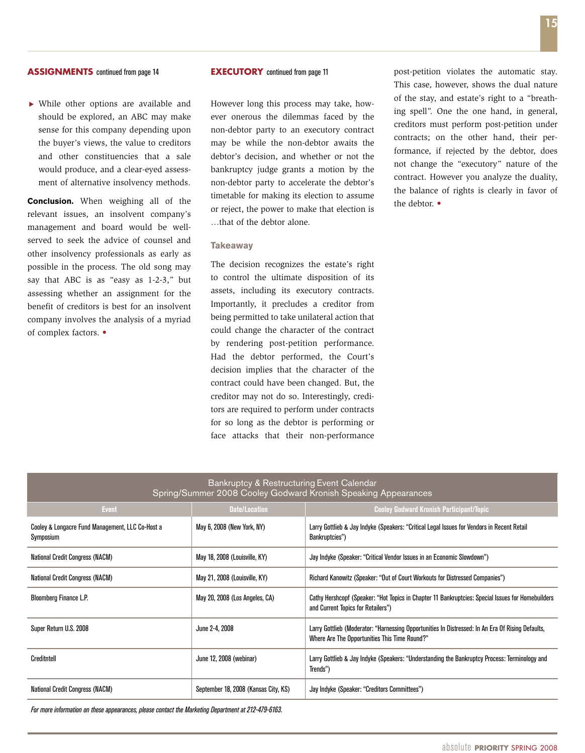While other options are available and should be explored, an ABC may make sense for this company depending upon the buyer's views, the value to creditors and other constituencies that a sale would produce, and a clear-eyed assessment of alternative insolvency methods.

**Conclusion.** When weighing all of the relevant issues, an insolvent company's management and board would be wellserved to seek the advice of counsel and other insolvency professionals as early as possible in the process. The old song may say that ABC is as "easy as 1-2-3," but assessing whether an assignment for the benefit of creditors is best for an insolvent company involves the analysis of a myriad of complex factors. •

#### **EXECUTORY** continued from page 11

However long this process may take, however onerous the dilemmas faced by the non-debtor party to an executory contract may be while the non-debtor awaits the debtor's decision, and whether or not the bankruptcy judge grants a motion by the non-debtor party to accelerate the debtor's timetable for making its election to assume or reject, the power to make that election is …that of the debtor alone.

#### **Takeaway**

The decision recognizes the estate's right to control the ultimate disposition of its assets, including its executory contracts. Importantly, it precludes a creditor from being permitted to take unilateral action that could change the character of the contract by rendering post-petition performance. Had the debtor performed, the Court's decision implies that the character of the contract could have been changed. But, the creditor may not do so. Interestingly, creditors are required to perform under contracts for so long as the debtor is performing or face attacks that their non-performance

post-petition violates the automatic stay. This case, however, shows the dual nature of the stay, and estate's right to a "breathing spell". One the one hand, in general, creditors must perform post-petition under contracts; on the other hand, their performance, if rejected by the debtor, does not change the "executory" nature of the contract. However you analyze the duality, the balance of rights is clearly in favor of the debtor. •

| Bankruptcy & Restructuring Event Calendar<br>Spring/Summer 2008 Cooley Godward Kronish Speaking Appearances |                                      |                                                                                                                                                    |  |  |
|-------------------------------------------------------------------------------------------------------------|--------------------------------------|----------------------------------------------------------------------------------------------------------------------------------------------------|--|--|
| <b>Event</b>                                                                                                | <b>Date/Location</b>                 | <b>Cooley Godward Kronish Participant/Topic</b>                                                                                                    |  |  |
| Cooley & Longacre Fund Management, LLC Co-Host a<br>Symposium                                               | May 6, 2008 (New York, NY)           | Larry Gottlieb & Jay Indyke (Speakers: "Critical Legal Issues for Vendors in Recent Retail<br>Bankruptcies")                                       |  |  |
| <b>National Credit Congress (NACM)</b>                                                                      | May 18, 2008 (Louisville, KY)        | Jay Indyke (Speaker: "Critical Vendor Issues in an Economic Slowdown")                                                                             |  |  |
| <b>National Credit Congress (NACM)</b>                                                                      | May 21, 2008 (Louisville, KY)        | Richard Kanowitz (Speaker: "Out of Court Workouts for Distressed Companies")                                                                       |  |  |
| <b>Bloomberg Finance L.P.</b>                                                                               | May 20, 2008 (Los Angeles, CA)       | Cathy Hershcopf (Speaker: "Hot Topics in Chapter 11 Bankruptcies: Special Issues for Homebuilders<br>and Current Topics for Retailers")            |  |  |
| Super Return U.S. 2008                                                                                      | June 2-4, 2008                       | Larry Gottlieb (Moderator: "Harnessing Opportunities In Distressed: In An Era Of Rising Defaults,<br>Where Are The Opportunities This Time Round?" |  |  |
| Creditntell                                                                                                 | June 12, 2008 (webinar)              | Larry Gottlieb & Jay Indyke (Speakers: "Understanding the Bankruptcy Process: Terminology and<br>Trends")                                          |  |  |
| <b>National Credit Congress (NACM)</b>                                                                      | September 18, 2008 (Kansas City, KS) | Jay Indyke (Speaker: "Creditors Committees")                                                                                                       |  |  |

*For more information on these appearances, please contact the Marketing Department at 212-479-6163.*